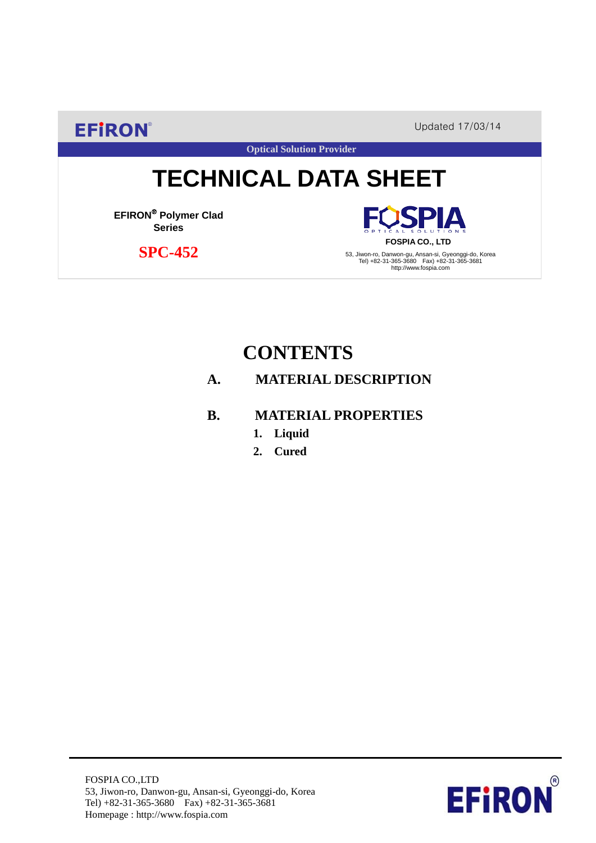**EFIRON®** Updated 17/03/14

PΙA

**Optical Solution Provider**

# **TECHNICAL DATA SHEET**

**EFIRON**® **Polymer Clad Series**

**SPC-452**

**FOSPIA CO., LTD** 53, Jiwon-ro, Danwon-gu, Ansan-si, Gyeonggi-do, Korea Tel) +82-31-365-3680 Fax) +82-31-365-3681 http://www.fospia.com

# **CONTENTS**

#### **A. MATERIAL DESCRIPTION**

#### **B. MATERIAL PROPERTIES**

- **1. Liquid**
- **2. Cured**

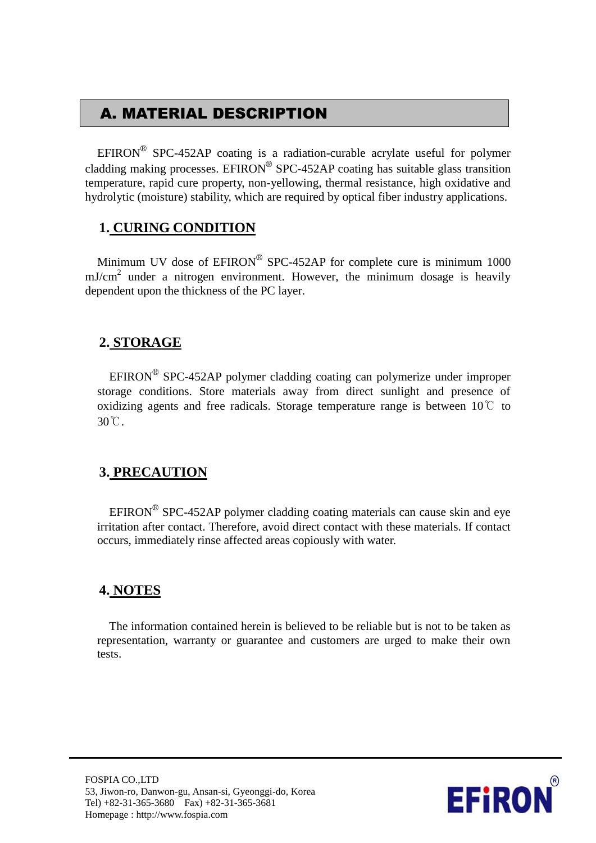# A. MATERIAL DESCRIPTION

EFIRON<sup>®</sup> SPC-452AP coating is a radiation-curable acrylate useful for polymer cladding making processes. EFIRON<sup>®</sup> SPC-452AP coating has suitable glass transition temperature, rapid cure property, non-yellowing, thermal resistance, high oxidative and hydrolytic (moisture) stability, which are required by optical fiber industry applications.

#### **1. CURING CONDITION**

Minimum UV dose of  $EPIRON^{\circledR}$  SPC-452AP for complete cure is minimum 1000  $mJ/cm<sup>2</sup>$  under a nitrogen environment. However, the minimum dosage is heavily dependent upon the thickness of the PC layer.

#### **2. STORAGE**

 $EFINON^{\circledR}$  SPC-452AP polymer cladding coating can polymerize under improper storage conditions. Store materials away from direct sunlight and presence of oxidizing agents and free radicals. Storage temperature range is between  $10^{\circ}$  to 30℃.

#### **3. PRECAUTION**

 $EFINON^{\circledR}$  SPC-452AP polymer cladding coating materials can cause skin and eye irritation after contact. Therefore, avoid direct contact with these materials. If contact occurs, immediately rinse affected areas copiously with water.

#### **4. NOTES**

The information contained herein is believed to be reliable but is not to be taken as representation, warranty or guarantee and customers are urged to make their own tests.